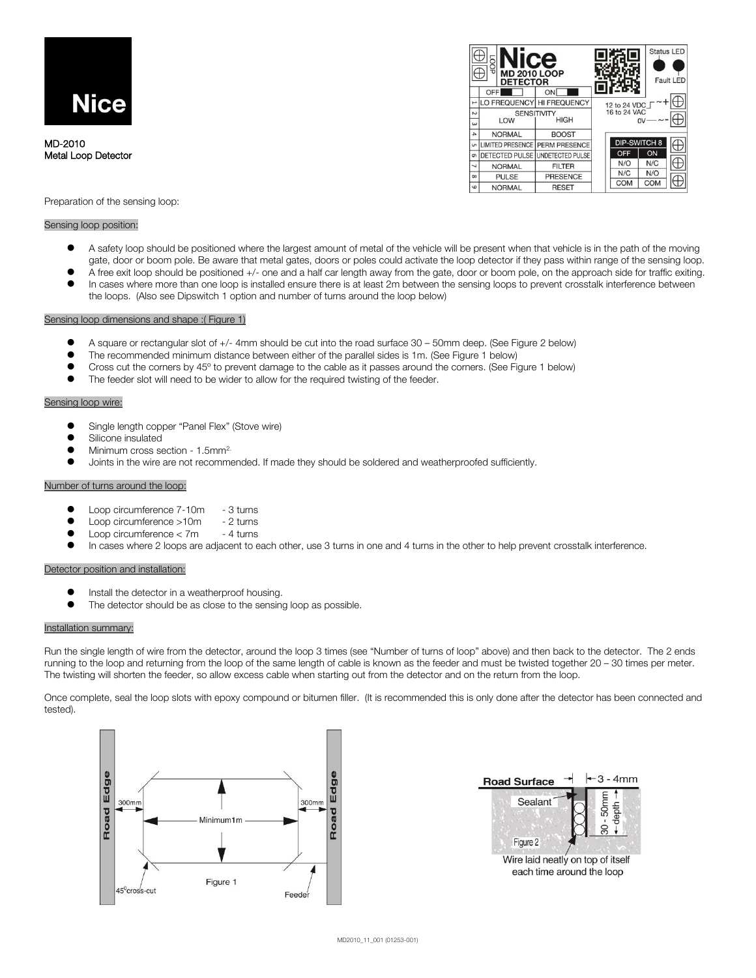

MD-2010 Metal Loop Detector



Preparation of the sensing loop:

### Sensing loop position:

- A safety loop should be positioned where the largest amount of metal of the vehicle will be present when that vehicle is in the path of the moving gate, door or boom pole. Be aware that metal gates, doors or poles could activate the loop detector if they pass within range of the sensing loop.
- ⚫ A free exit loop should be positioned +/- one and a half car length away from the gate, door or boom pole, on the approach side for traffic exiting.
- In cases where more than one loop is installed ensure there is at least 2m between the sensing loops to prevent crosstalk interference between the loops. (Also see Dipswitch 1 option and number of turns around the loop below)

# Sensing loop dimensions and shape :( Figure 1)

- ⚫ A square or rectangular slot of +/- 4mm should be cut into the road surface 30 50mm deep. (See Figure 2 below)
- ⚫ The recommended minimum distance between either of the parallel sides is 1m. (See Figure 1 below)
- ⚫ Cross cut the corners by 45º to prevent damage to the cable as it passes around the corners. (See Figure 1 below)
- The feeder slot will need to be wider to allow for the required twisting of the feeder.

# Sensing loop wire:

- ⚫ Single length copper "Panel Flex" (Stove wire)
- ⚫ Silicone insulated
- Minimum cross section 1.5mm<sup>2.</sup>
- ⚫ Joints in the wire are not recommended. If made they should be soldered and weatherproofed sufficiently.

# Number of turns around the loop:

- Loop circumference 7-10m 3 turns
- Loop circumference >10m 2 turns
- Loop circumference < 7m 4 turns
- In cases where 2 loops are adjacent to each other, use 3 turns in one and 4 turns in the other to help prevent crosstalk interference.

# Detector position and installation:

- ⚫ Install the detector in a weatherproof housing.
- The detector should be as close to the sensing loop as possible.

#### Installation summary:

Run the single length of wire from the detector, around the loop 3 times (see "Number of turns of loop" above) and then back to the detector. The 2 ends running to the loop and returning from the loop of the same length of cable is known as the feeder and must be twisted together 20 – 30 times per meter. The twisting will shorten the feeder, so allow excess cable when starting out from the detector and on the return from the loop.

Once complete, seal the loop slots with epoxy compound or bitumen filler. (It is recommended this is only done after the detector has been connected and tested).



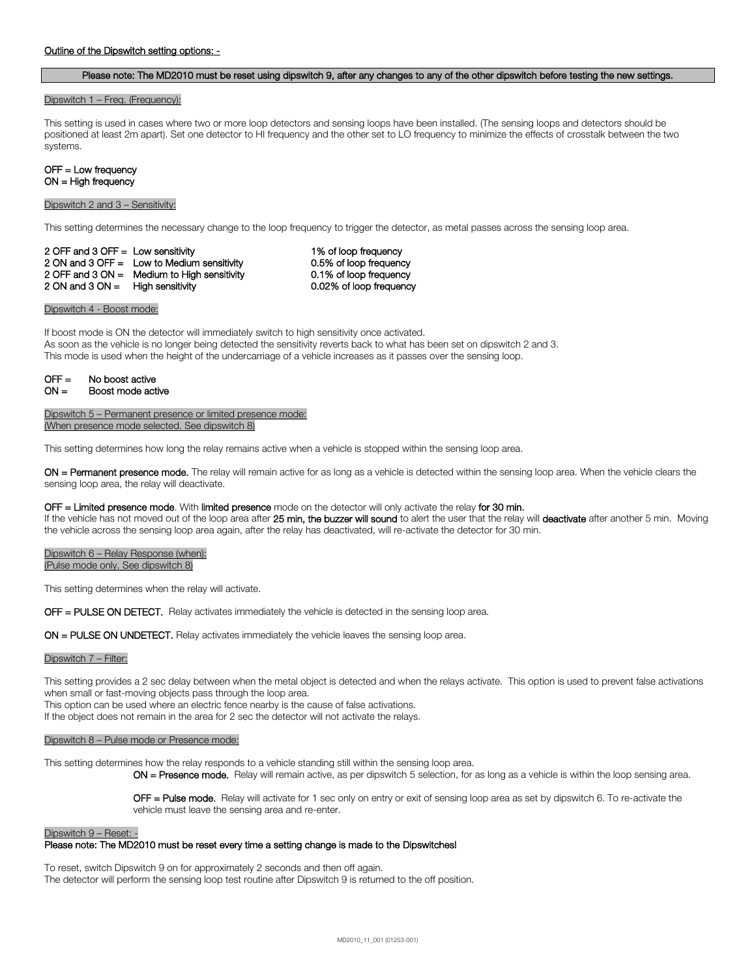### Outline of the Dipswitch setting options: -

### Please note: The MD2010 must be reset using dipswitch 9, after any changes to any of the other dipswitch before testing the new settings.

#### Dipswitch 1 – Freq. (Frequency):

This setting is used in cases where two or more loop detectors and sensing loops have been installed. (The sensing loops and detectors should be positioned at least 2m apart). Set one detector to HI frequency and the other set to LO frequency to minimize the effects of crosstalk between the two systems.

#### OFF = Low frequency ON = High frequency

#### Dipswitch 2 and 3 – Sensitivity:

This setting determines the necessary change to the loop frequency to trigger the detector, as metal passes across the sensing loop area.

2 OFF and 3 OFF = Low sensitivity 1% of loop frequency 2 ON and 3 OFF = Low to Medium sensitivity 0.5% of loop frequency 2 OFF and 3 ON = Medium to High sensitivity 0.1% of loop frequency 2 ON and 3 ON = High sensitivity 0.02% of loop frequency

Dipswitch 4 - Boost mode:

If boost mode is ON the detector will immediately switch to high sensitivity once activated. As soon as the vehicle is no longer being detected the sensitivity reverts back to what has been set on dipswitch 2 and 3. This mode is used when the height of the undercarriage of a vehicle increases as it passes over the sensing loop.

| $OFF =$ | No boost active   |
|---------|-------------------|
| $ON =$  | Boost mode active |

Dipswitch 5 – Permanent presence or limited presence mode: (When presence mode selected. See dipswitch 8)

This setting determines how long the relay remains active when a vehicle is stopped within the sensing loop area.

ON = Permanent presence mode. The relay will remain active for as long as a vehicle is detected within the sensing loop area. When the vehicle clears the sensing loop area, the relay will deactivate.

#### OFF = Limited presence mode. With limited presence mode on the detector will only activate the relay for 30 min.

If the vehicle has not moved out of the loop area after 25 min, the buzzer will sound to alert the user that the relay will deactivate after another 5 min. Moving the vehicle across the sensing loop area again, after the relay has deactivated, will re-activate the detector for 30 min.

Dipswitch 6 – Relay Response (when): (Pulse mode only. See dipswitch 8)

This setting determines when the relay will activate.

OFF = PULSE ON DETECT. Relay activates immediately the vehicle is detected in the sensing loop area.

ON = PULSE ON UNDETECT. Relay activates immediately the vehicle leaves the sensing loop area.

### Dipswitch 7 – Filter:

This setting provides a 2 sec delay between when the metal object is detected and when the relays activate. This option is used to prevent false activations when small or fast-moving objects pass through the loop area.

This option can be used where an electric fence nearby is the cause of false activations.

If the object does not remain in the area for 2 sec the detector will not activate the relays.

#### Dipswitch 8 – Pulse mode or Presence mode:

This setting determines how the relay responds to a vehicle standing still within the sensing loop area.

ON = Presence mode. Relay will remain active, as per dipswitch 5 selection, for as long as a vehicle is within the loop sensing area.

OFF = Pulse mode. Relay will activate for 1 sec only on entry or exit of sensing loop area as set by dipswitch 6. To re-activate the vehicle must leave the sensing area and re-enter.

#### Dipswitch 9 – Reset: -

# Please note: The MD2010 must be reset every time a setting change is made to the Dipswitches!

To reset, switch Dipswitch 9 on for approximately 2 seconds and then off again. The detector will perform the sensing loop test routine after Dipswitch 9 is returned to the off position.